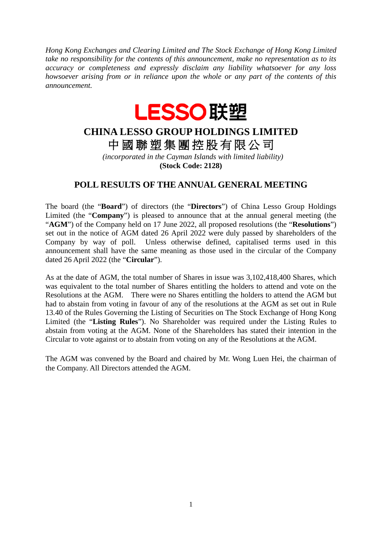*Hong Kong Exchanges and Clearing Limited and The Stock Exchange of Hong Kong Limited take no responsibility for the contents of this announcement, make no representation as to its accuracy or completeness and expressly disclaim any liability whatsoever for any loss howsoever arising from or in reliance upon the whole or any part of the contents of this announcement.*



## **CHINA LESSO GROUP HOLDINGS LIMITED** 中 國 聯 塑 集 團 控 股 有 限 公 司

*(incorporated in the Cayman Islands with limited liability)* **(Stock Code: 2128)**

## **POLL RESULTS OF THE ANNUAL GENERAL MEETING**

The board (the "**Board**") of directors (the "**Directors**") of China Lesso Group Holdings Limited (the "**Company**") is pleased to announce that at the annual general meeting (the "**AGM**") of the Company held on 17 June 2022, all proposed resolutions (the "**Resolutions**") set out in the notice of AGM dated 26 April 2022 were duly passed by shareholders of the Company by way of poll. Unless otherwise defined, capitalised terms used in this announcement shall have the same meaning as those used in the circular of the Company dated 26 April 2022 (the "**Circular**").

As at the date of AGM, the total number of Shares in issue was 3,102,418,400 Shares, which was equivalent to the total number of Shares entitling the holders to attend and vote on the Resolutions at the AGM. There were no Shares entitling the holders to attend the AGM but had to abstain from voting in favour of any of the resolutions at the AGM as set out in Rule 13.40 of the Rules Governing the Listing of Securities on The Stock Exchange of Hong Kong Limited (the "**Listing Rules**"). No Shareholder was required under the Listing Rules to abstain from voting at the AGM. None of the Shareholders has stated their intention in the Circular to vote against or to abstain from voting on any of the Resolutions at the AGM.

The AGM was convened by the Board and chaired by Mr. Wong Luen Hei, the chairman of the Company. All Directors attended the AGM.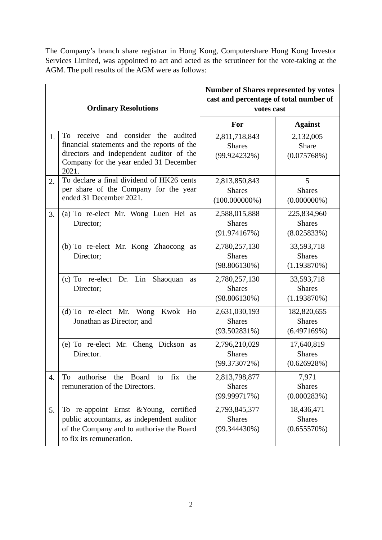The Company's branch share registrar in Hong Kong, Computershare Hong Kong Investor Services Limited, was appointed to act and acted as the scrutineer for the vote-taking at the AGM. The poll results of the AGM were as follows:

| <b>Ordinary Resolutions</b> |                                                                                                                                                                                               | <b>Number of Shares represented by votes</b><br>cast and percentage of total number of<br>votes cast |                                             |
|-----------------------------|-----------------------------------------------------------------------------------------------------------------------------------------------------------------------------------------------|------------------------------------------------------------------------------------------------------|---------------------------------------------|
|                             |                                                                                                                                                                                               | For                                                                                                  | <b>Against</b>                              |
| 1.                          | and consider<br>To<br>receive<br>the<br>audited<br>financial statements and the reports of the<br>directors and independent auditor of the<br>Company for the year ended 31 December<br>2021. | 2,811,718,843<br><b>Shares</b><br>(99.924232%)                                                       | 2,132,005<br><b>Share</b><br>(0.075768%)    |
| 2.                          | To declare a final dividend of HK26 cents<br>per share of the Company for the year<br>ended 31 December 2021.                                                                                 | 2,813,850,843<br><b>Shares</b><br>$(100.000000\%)$                                                   | 5<br><b>Shares</b><br>$(0.000000\%)$        |
| 3.                          | (a) To re-elect Mr. Wong Luen Hei as<br>Director;                                                                                                                                             | 2,588,015,888<br><b>Shares</b><br>(91.974167%)                                                       | 225,834,960<br><b>Shares</b><br>(8.025833%) |
|                             | (b) To re-elect Mr. Kong Zhaocong<br>as<br>Director;                                                                                                                                          | 2,780,257,130<br><b>Shares</b><br>$(98.806130\%)$                                                    | 33,593,718<br><b>Shares</b><br>(1.193870%)  |
|                             | Dr. Lin<br>$(c)$ To re-elect<br>Shaoquan<br>as<br>Director;                                                                                                                                   | 2,780,257,130<br><b>Shares</b><br>(98.806130%)                                                       | 33,593,718<br><b>Shares</b><br>(1.193870%)  |
|                             | (d) To re-elect Mr. Wong Kwok Ho<br>Jonathan as Director; and                                                                                                                                 | 2,631,030,193<br><b>Shares</b><br>(93.502831%)                                                       | 182,820,655<br><b>Shares</b><br>(6.497169%) |
|                             | (e) To re-elect Mr. Cheng Dickson as<br>Director.                                                                                                                                             | 2,796,210,029<br><b>Shares</b><br>(99.373072%)                                                       | 17,640,819<br><b>Shares</b><br>(0.626928%)  |
| 4.                          | authorise<br>the<br>Board<br>the<br>To<br>to<br>fix<br>remuneration of the Directors.                                                                                                         | 2,813,798,877<br><b>Shares</b><br>(99.999717%)                                                       | 7,971<br><b>Shares</b><br>(0.000283%)       |
| 5.                          | To re-appoint Ernst & Young, certified<br>public accountants, as independent auditor<br>of the Company and to authorise the Board<br>to fix its remuneration.                                 | 2,793,845,377<br><b>Shares</b><br>(99.344430%)                                                       | 18,436,471<br><b>Shares</b><br>(0.655570%)  |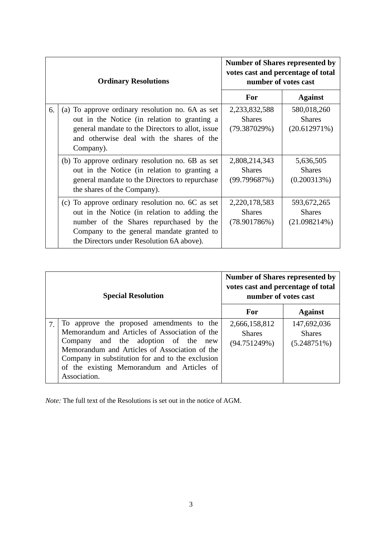| <b>Ordinary Resolutions</b> |                                                                                                                                                                                                                                       | <b>Number of Shares represented by</b><br>votes cast and percentage of total<br>number of votes cast |                                                 |
|-----------------------------|---------------------------------------------------------------------------------------------------------------------------------------------------------------------------------------------------------------------------------------|------------------------------------------------------------------------------------------------------|-------------------------------------------------|
|                             |                                                                                                                                                                                                                                       | For                                                                                                  | <b>Against</b>                                  |
| 6.                          | (a) To approve ordinary resolution no. 6A as set<br>out in the Notice (in relation to granting a<br>general mandate to the Directors to allot, issue<br>and otherwise deal with the shares of the<br>Company).                        | 2,233,832,588<br><b>Shares</b><br>(79.387029%)                                                       | 580,018,260<br><b>Shares</b><br>(20.612971%)    |
|                             | (b) To approve ordinary resolution no. 6B as set<br>out in the Notice (in relation to granting a<br>general mandate to the Directors to repurchase<br>the shares of the Company).                                                     | 2,808,214,343<br><b>Shares</b><br>(99.799687%)                                                       | 5,636,505<br><b>Shares</b><br>(0.200313%)       |
|                             | (c) To approve ordinary resolution no. 6C as set<br>out in the Notice (in relation to adding the<br>number of the Shares repurchased by the<br>Company to the general mandate granted to<br>the Directors under Resolution 6A above). | 2,220,178,583<br><b>Shares</b><br>(78.901786%)                                                       | 593,672,265<br><b>Shares</b><br>$(21.098214\%)$ |

| <b>Special Resolution</b> |                                                                                                                                                                                                                                                                                                      | <b>Number of Shares represented by</b><br>votes cast and percentage of total<br>number of votes cast |                                                |
|---------------------------|------------------------------------------------------------------------------------------------------------------------------------------------------------------------------------------------------------------------------------------------------------------------------------------------------|------------------------------------------------------------------------------------------------------|------------------------------------------------|
|                           |                                                                                                                                                                                                                                                                                                      | For                                                                                                  | <b>Against</b>                                 |
|                           | To approve the proposed amendments to the<br>Memorandum and Articles of Association of the<br>Company and the adoption of the new<br>Memorandum and Articles of Association of the<br>Company in substitution for and to the exclusion<br>of the existing Memorandum and Articles of<br>Association. | 2,666,158,812<br><b>Shares</b><br>(94.751249%)                                                       | 147,692,036<br><b>Shares</b><br>$(5.248751\%)$ |

*Note:* The full text of the Resolutions is set out in the notice of AGM.